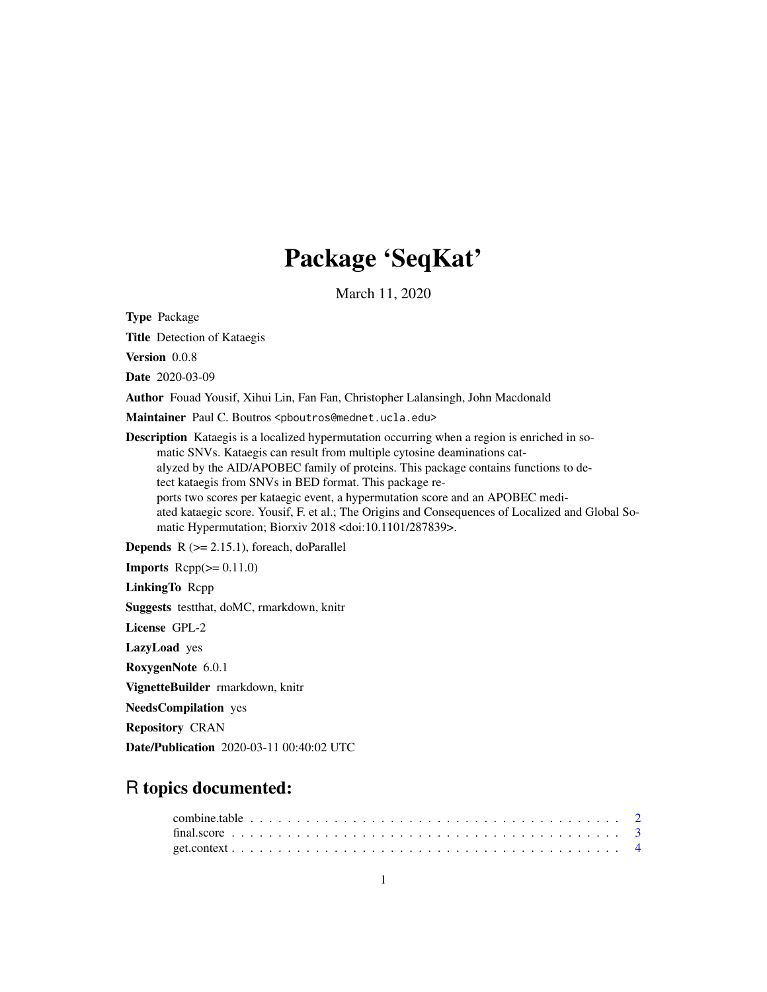## Package 'SeqKat'

March 11, 2020

Type Package

Title Detection of Kataegis

Version 0.0.8

Date 2020-03-09

Author Fouad Yousif, Xihui Lin, Fan Fan, Christopher Lalansingh, John Macdonald

Maintainer Paul C. Boutros <pboutros@mednet.ucla.edu>

Description Kataegis is a localized hypermutation occurring when a region is enriched in somatic SNVs. Kataegis can result from multiple cytosine deaminations catalyzed by the AID/APOBEC family of proteins. This package contains functions to detect kataegis from SNVs in BED format. This package reports two scores per kataegic event, a hypermutation score and an APOBEC mediated kataegic score. Yousif, F. et al.; The Origins and Consequences of Localized and Global Somatic Hypermutation; Biorxiv 2018 <doi:10.1101/287839>.

**Depends**  $R$  ( $>= 2.15.1$ ), foreach, doParallel

**Imports**  $\text{Rcpp}(\geq 0.11.0)$ 

LinkingTo Rcpp

Suggests testthat, doMC, rmarkdown, knitr

License GPL-2

LazyLoad yes

RoxygenNote 6.0.1

VignetteBuilder rmarkdown, knitr

NeedsCompilation yes

Repository CRAN

Date/Publication 2020-03-11 00:40:02 UTC

## R topics documented: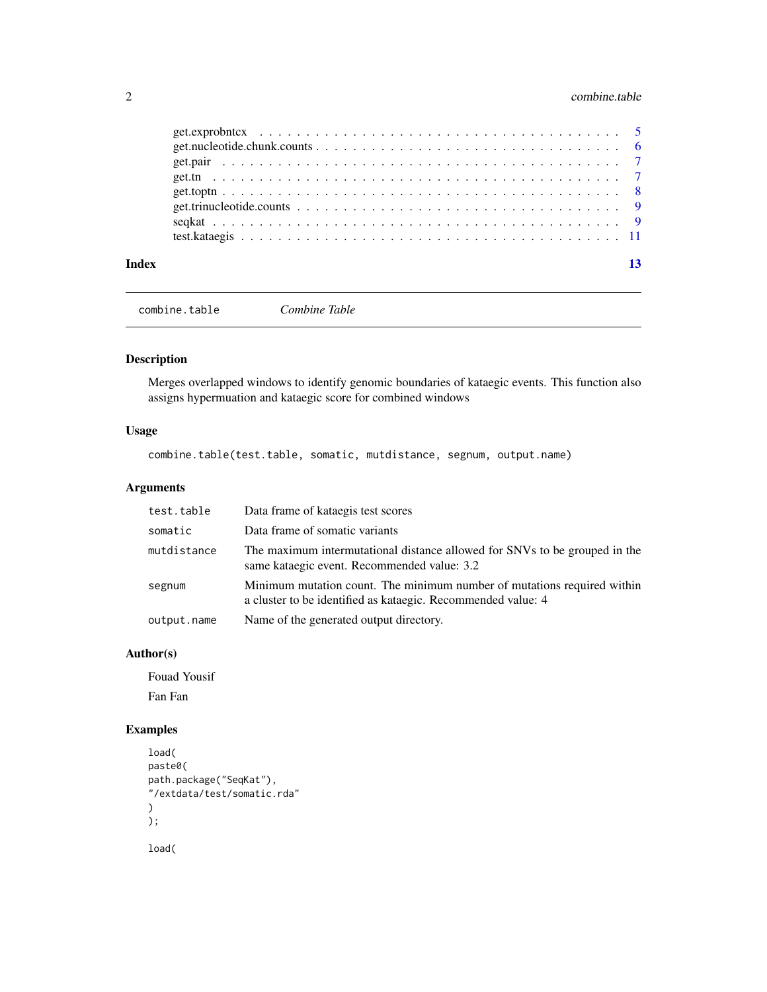#### <span id="page-1-0"></span>2 combine.table

combine.table *Combine Table*

#### Description

Merges overlapped windows to identify genomic boundaries of kataegic events. This function also assigns hypermuation and kataegic score for combined windows

#### Usage

combine.table(test.table, somatic, mutdistance, segnum, output.name)

#### Arguments

| test.table  | Data frame of kataegis test scores                                                                                                      |
|-------------|-----------------------------------------------------------------------------------------------------------------------------------------|
| somatic     | Data frame of somatic variants                                                                                                          |
| mutdistance | The maximum intermutational distance allowed for SNVs to be grouped in the<br>same kataegic event. Recommended value: 3.2               |
| segnum      | Minimum mutation count. The minimum number of mutations required within<br>a cluster to be identified as kataegic. Recommended value: 4 |
| output.name | Name of the generated output directory.                                                                                                 |

#### Author(s)

Fouad Yousif Fan Fan

```
load(
paste0(
path.package("SeqKat"),
"/extdata/test/somatic.rda"
)
);
load(
```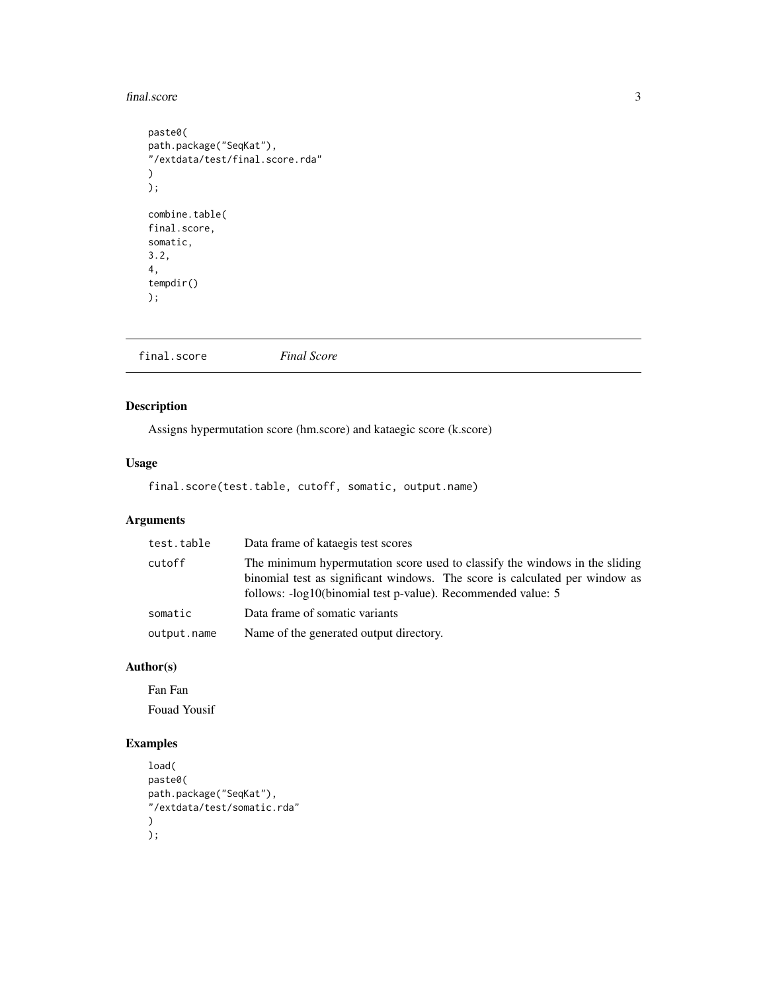#### <span id="page-2-0"></span>final.score 3

```
paste0(
path.package("SeqKat"),
"/extdata/test/final.score.rda"
\mathcal{L});
combine.table(
final.score,
somatic,
3.2,
4,
tempdir()
);
```
final.score *Final Score*

#### Description

Assigns hypermutation score (hm.score) and kataegic score (k.score)

#### Usage

final.score(test.table, cutoff, somatic, output.name)

#### Arguments

| test.table  | Data frame of kataegis test scores                                                                                                                                                                                         |
|-------------|----------------------------------------------------------------------------------------------------------------------------------------------------------------------------------------------------------------------------|
| cutoff      | The minimum hypermutation score used to classify the windows in the sliding<br>binomial test as significant windows. The score is calculated per window as<br>follows: -log10(binomial test p-value). Recommended value: 5 |
| somatic     | Data frame of somatic variants                                                                                                                                                                                             |
| output.name | Name of the generated output directory.                                                                                                                                                                                    |

#### Author(s)

Fan Fan Fouad Yousif

```
load(
paste0(
path.package("SeqKat"),
"/extdata/test/somatic.rda"
\mathcal{L});
```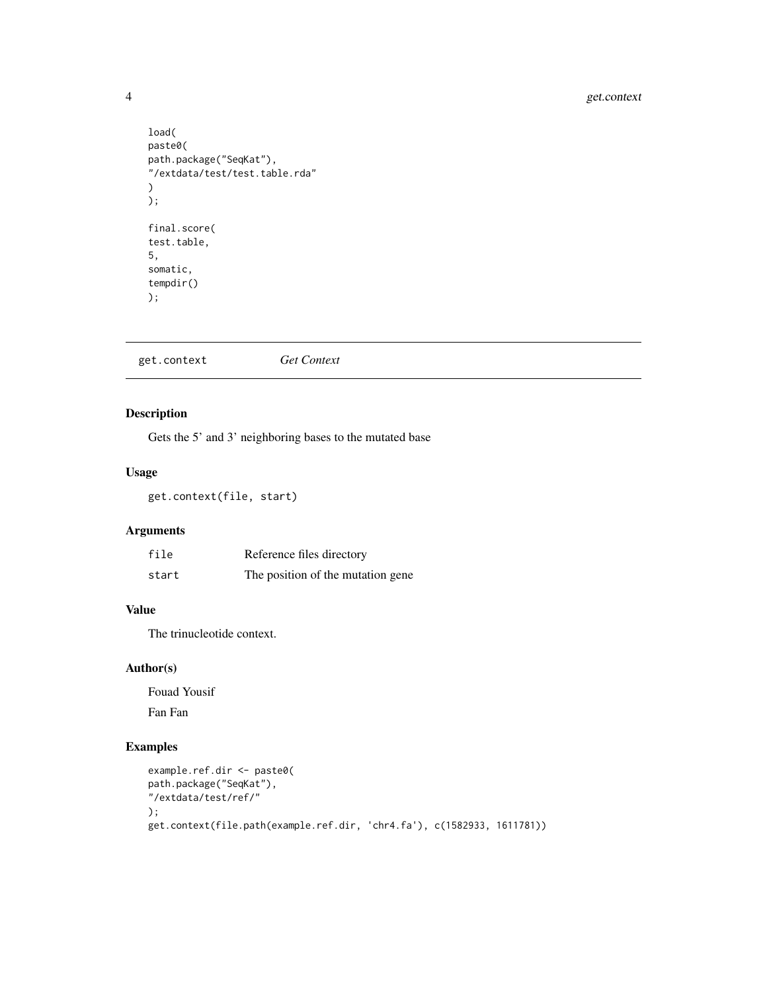#### <span id="page-3-0"></span>4 get.context

```
load(
paste0(
path.package("SeqKat"),
"/extdata/test/test.table.rda"
)
);
final.score(
test.table,
5,
somatic,
tempdir()
);
```

| get.context | <b>Get Context</b> |  |
|-------------|--------------------|--|
|-------------|--------------------|--|

#### Description

Gets the 5' and 3' neighboring bases to the mutated base

#### Usage

get.context(file, start)

### Arguments

| file  | Reference files directory         |
|-------|-----------------------------------|
| start | The position of the mutation gene |

#### Value

The trinucleotide context.

#### Author(s)

Fouad Yousif

Fan Fan

```
example.ref.dir <- paste0(
path.package("SeqKat"),
"/extdata/test/ref/"
);
get.context(file.path(example.ref.dir, 'chr4.fa'), c(1582933, 1611781))
```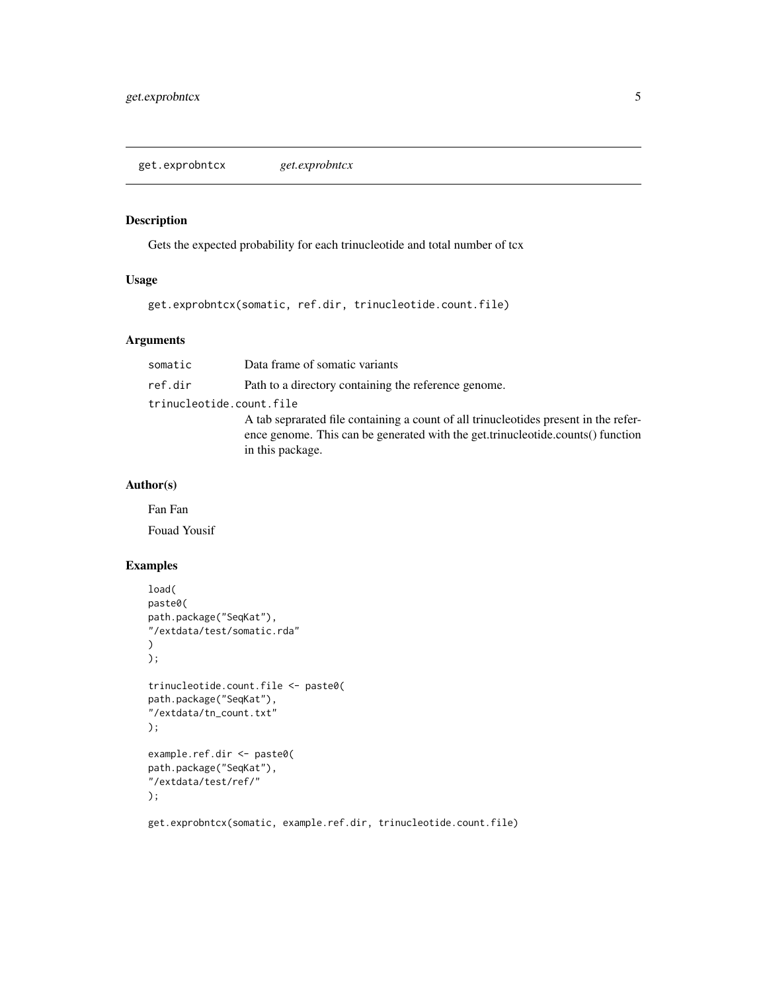<span id="page-4-0"></span>get.exprobntcx *get.exprobntcx*

#### Description

Gets the expected probability for each trinucleotide and total number of tcx

#### Usage

get.exprobntcx(somatic, ref.dir, trinucleotide.count.file)

#### Arguments

| somatic                  | Data frame of somatic variants                                                                                                                                                              |
|--------------------------|---------------------------------------------------------------------------------------------------------------------------------------------------------------------------------------------|
| ref.dir                  | Path to a directory containing the reference genome.                                                                                                                                        |
| trinucleotide.count.file |                                                                                                                                                                                             |
|                          | A tab seprarated file containing a count of all trinucleotides present in the refer-<br>ence genome. This can be generated with the get.trinucleotide.counts() function<br>in this package. |

#### Author(s)

Fan Fan

Fouad Yousif

```
load(
paste0(
path.package("SeqKat"),
"/extdata/test/somatic.rda"
)
);
trinucleotide.count.file <- paste0(
path.package("SeqKat"),
"/extdata/tn_count.txt"
);
example.ref.dir <- paste0(
path.package("SeqKat"),
"/extdata/test/ref/"
);
get.exprobntcx(somatic, example.ref.dir, trinucleotide.count.file)
```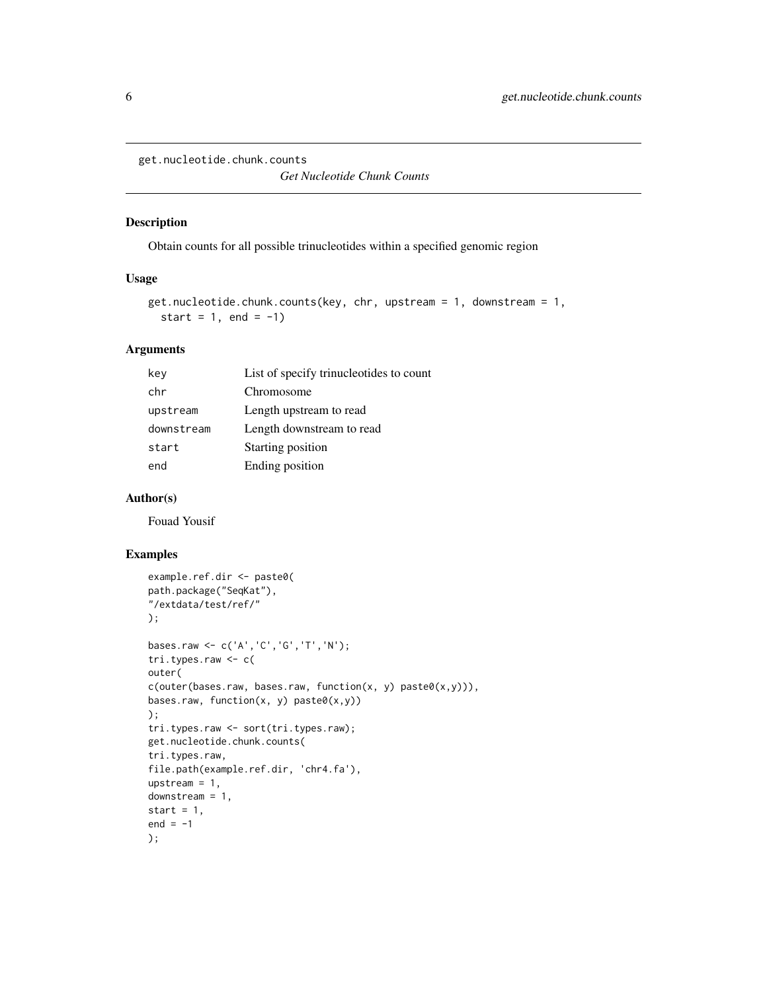<span id="page-5-0"></span>get.nucleotide.chunk.counts

*Get Nucleotide Chunk Counts*

#### Description

Obtain counts for all possible trinucleotides within a specified genomic region

#### Usage

```
get.nucleotide.chunk.counts(key, chr, upstream = 1, downstream = 1,
  start = 1, end = -1)
```
#### Arguments

| key        | List of specify trinucleotides to count |
|------------|-----------------------------------------|
| chr        | Chromosome                              |
| upstream   | Length upstream to read                 |
| downstream | Length downstream to read               |
| start      | Starting position                       |
| end        | Ending position                         |

#### Author(s)

Fouad Yousif

```
example.ref.dir <- paste0(
path.package("SeqKat"),
"/extdata/test/ref/"
);
bases.raw <- c('A','C','G','T','N');
tri.types.raw <- c(
outer(
c(outer(bases.raw, bases.raw, function(x, y) paste\theta(x,y))),
bases.raw, function(x, y) paste0(x,y))
);
tri.types.raw <- sort(tri.types.raw);
get.nucleotide.chunk.counts(
tri.types.raw,
file.path(example.ref.dir, 'chr4.fa'),
upstream = 1,
downstream = 1,
start = 1,
end = -1);
```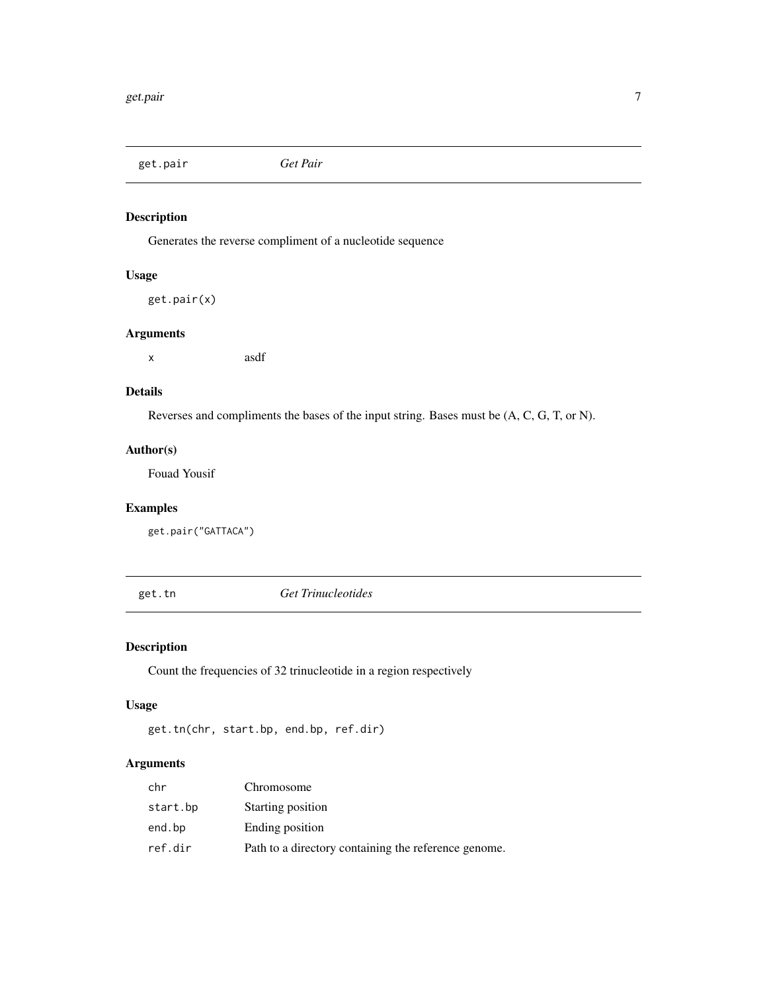<span id="page-6-0"></span>get.pair *Get Pair*

#### Description

Generates the reverse compliment of a nucleotide sequence

#### Usage

get.pair(x)

#### Arguments

x asdf

#### Details

Reverses and compliments the bases of the input string. Bases must be (A, C, G, T, or N).

#### Author(s)

Fouad Yousif

#### Examples

get.pair("GATTACA")

get.tn *Get Trinucleotides*

#### Description

Count the frequencies of 32 trinucleotide in a region respectively

#### Usage

```
get.tn(chr, start.bp, end.bp, ref.dir)
```
#### Arguments

| chr      | Chromosome                                           |
|----------|------------------------------------------------------|
| start.bp | Starting position                                    |
| end.bp   | Ending position                                      |
| ref.dir  | Path to a directory containing the reference genome. |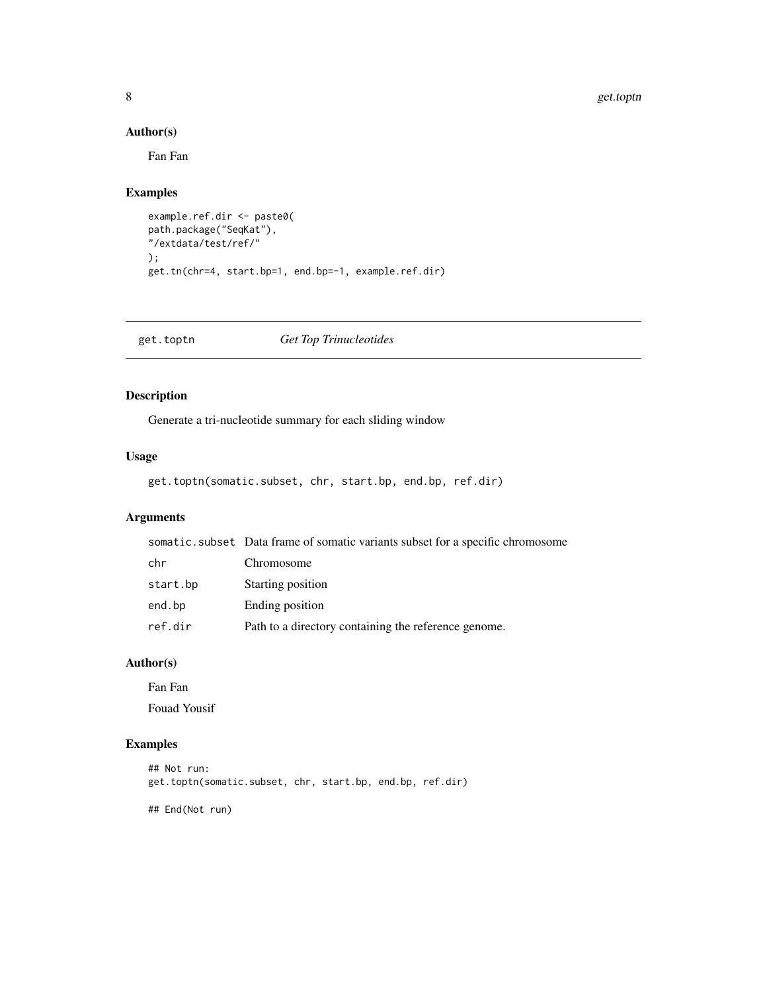#### 8 get.toptn

#### Author(s)

Fan Fan

#### Examples

```
example.ref.dir <- paste0(
path.package("SeqKat"),
"/extdata/test/ref/"
);
get.tn(chr=4, start.bp=1, end.bp=-1, example.ref.dir)
```
get.toptn *Get Top Trinucleotides*

#### Description

Generate a tri-nucleotide summary for each sliding window

#### Usage

```
get.toptn(somatic.subset, chr, start.bp, end.bp, ref.dir)
```
### Arguments

|          | somatic.subset Data frame of somatic variants subset for a specific chromosome |
|----------|--------------------------------------------------------------------------------|
| chr      | Chromosome                                                                     |
| start.bp | Starting position                                                              |
| end.bp   | Ending position                                                                |
| ref.dir  | Path to a directory containing the reference genome.                           |

#### Author(s)

Fan Fan Fouad Yousif

#### Examples

```
## Not run:
get.toptn(somatic.subset, chr, start.bp, end.bp, ref.dir)
```
## End(Not run)

<span id="page-7-0"></span>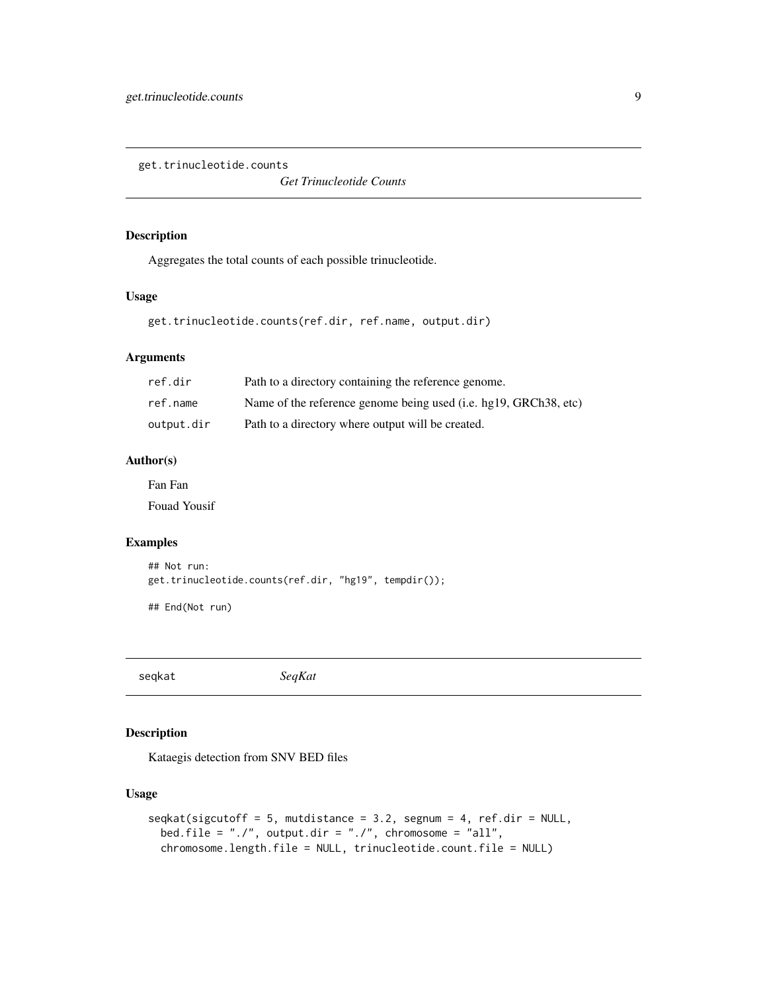<span id="page-8-0"></span>get.trinucleotide.counts

*Get Trinucleotide Counts*

#### Description

Aggregates the total counts of each possible trinucleotide.

#### Usage

```
get.trinucleotide.counts(ref.dir, ref.name, output.dir)
```
#### Arguments

| ref.dir    | Path to a directory containing the reference genome.             |
|------------|------------------------------------------------------------------|
| ref.name   | Name of the reference genome being used (i.e. hg19, GRCh38, etc) |
| output.dir | Path to a directory where output will be created.                |

#### Author(s)

Fan Fan

Fouad Yousif

#### Examples

```
## Not run:
get.trinucleotide.counts(ref.dir, "hg19", tempdir());
```
## End(Not run)

seqkat *SeqKat*

#### Description

Kataegis detection from SNV BED files

#### Usage

```
seqkat(sigcutoff = 5, mutdistance = 3.2, segment = 4, ref.dir = NULL,bed.file = "./", output.dir = "./", chromosome = "all",chromosome.length.file = NULL, trinucleotide.count.file = NULL)
```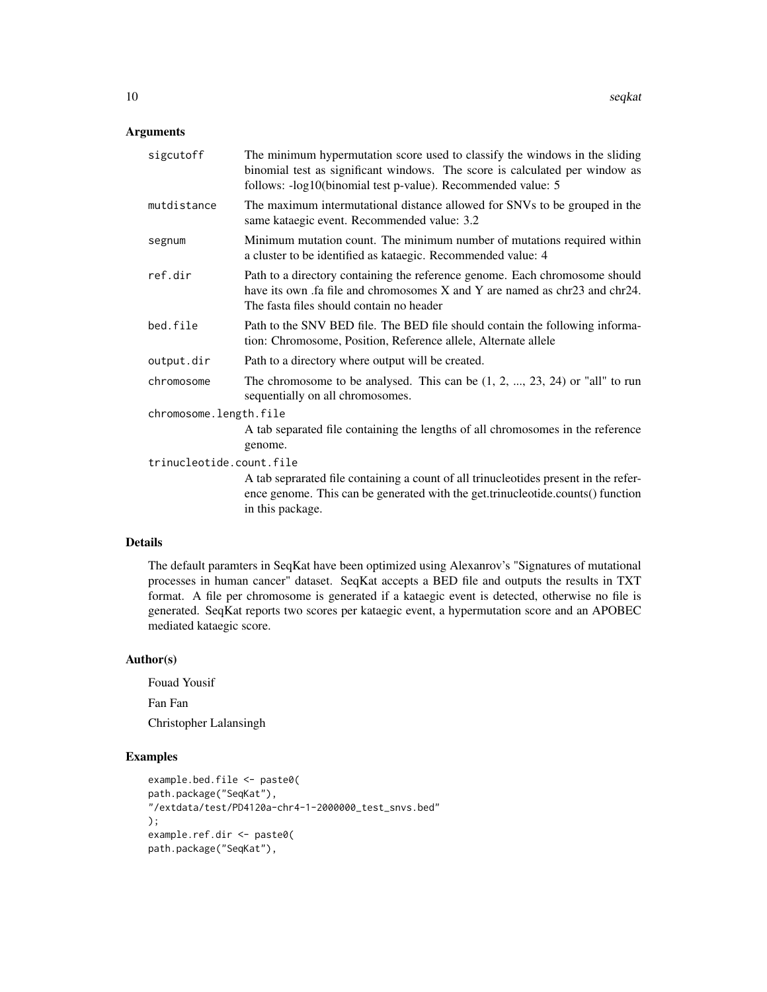#### Arguments

| sigcutoff                | The minimum hypermutation score used to classify the windows in the sliding<br>binomial test as significant windows. The score is calculated per window as<br>follows: -log10(binomial test p-value). Recommended value: 5 |  |  |  |  |  |
|--------------------------|----------------------------------------------------------------------------------------------------------------------------------------------------------------------------------------------------------------------------|--|--|--|--|--|
| mutdistance              | The maximum intermutational distance allowed for SNVs to be grouped in the<br>same kataegic event. Recommended value: 3.2                                                                                                  |  |  |  |  |  |
| segnum                   | Minimum mutation count. The minimum number of mutations required within<br>a cluster to be identified as kataegic. Recommended value: 4                                                                                    |  |  |  |  |  |
| ref.dir                  | Path to a directory containing the reference genome. Each chromosome should<br>have its own .fa file and chromosomes X and Y are named as chr23 and chr24.<br>The fasta files should contain no header                     |  |  |  |  |  |
| bed.file                 | Path to the SNV BED file. The BED file should contain the following informa-<br>tion: Chromosome, Position, Reference allele, Alternate allele                                                                             |  |  |  |  |  |
| output.dir               | Path to a directory where output will be created.                                                                                                                                                                          |  |  |  |  |  |
| chromosome               | The chromosome to be analysed. This can be $(1, 2, , 23, 24)$ or "all" to run<br>sequentially on all chromosomes.                                                                                                          |  |  |  |  |  |
| chromosome.length.file   |                                                                                                                                                                                                                            |  |  |  |  |  |
|                          | A tab separated file containing the lengths of all chromosomes in the reference<br>genome.                                                                                                                                 |  |  |  |  |  |
| trinucleotide.count.file |                                                                                                                                                                                                                            |  |  |  |  |  |
|                          | A tab seprarated file containing a count of all trinucleotides present in the refer-<br>ence genome. This can be generated with the get.trinucleotide.counts() function<br>in this package.                                |  |  |  |  |  |
|                          |                                                                                                                                                                                                                            |  |  |  |  |  |

#### Details

The default paramters in SeqKat have been optimized using Alexanrov's "Signatures of mutational processes in human cancer" dataset. SeqKat accepts a BED file and outputs the results in TXT format. A file per chromosome is generated if a kataegic event is detected, otherwise no file is generated. SeqKat reports two scores per kataegic event, a hypermutation score and an APOBEC mediated kataegic score.

#### Author(s)

Fouad Yousif Fan Fan Christopher Lalansingh

```
example.bed.file <- paste0(
path.package("SeqKat"),
"/extdata/test/PD4120a-chr4-1-2000000_test_snvs.bed"
);
example.ref.dir <- paste0(
path.package("SeqKat"),
```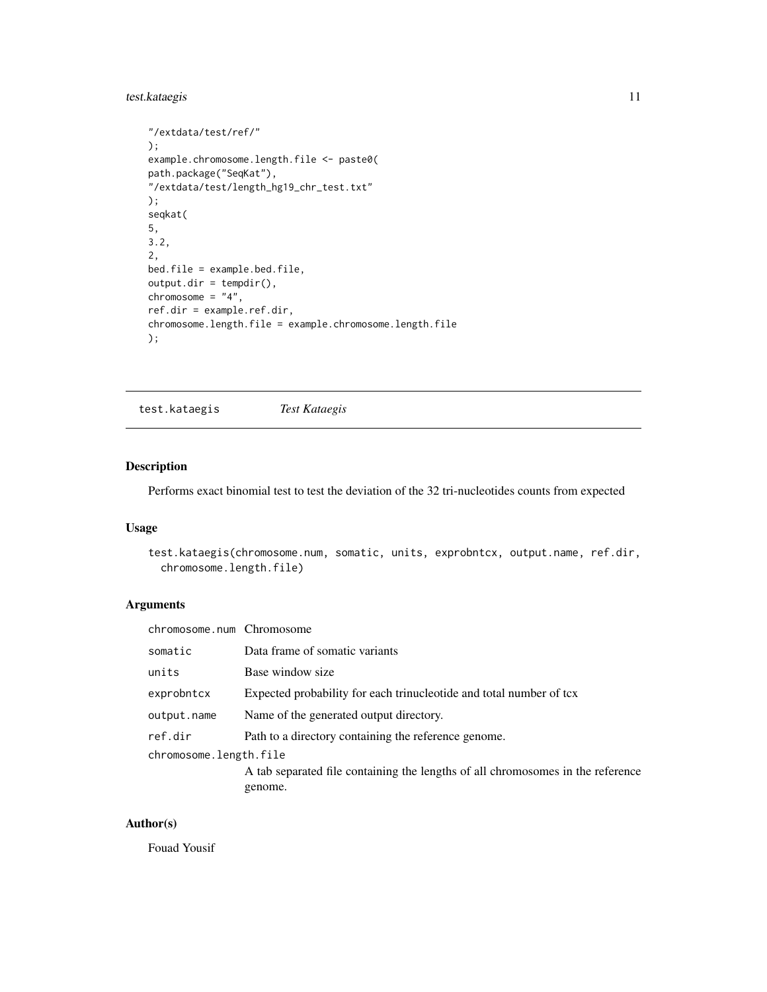#### <span id="page-10-0"></span>test.kataegis 11

```
"/extdata/test/ref/"
);
example.chromosome.length.file <- paste0(
path.package("SeqKat"),
"/extdata/test/length_hg19_chr_test.txt"
);
seqkat(
5,
3.2,
2,
bed.file = example.bed.file,
output.dir = tempdir(),
chromosome = "4",ref.dir = example.ref.dir,
chromosome.length.file = example.chromosome.length.file
);
```
test.kataegis *Test Kataegis*

#### Description

Performs exact binomial test to test the deviation of the 32 tri-nucleotides counts from expected

#### Usage

```
test.kataegis(chromosome.num, somatic, units, exprobntcx, output.name, ref.dir,
  chromosome.length.file)
```
#### Arguments

| chromosome.num Chromosome |                                                                                 |
|---------------------------|---------------------------------------------------------------------------------|
| somatic                   | Data frame of somatic variants                                                  |
| units                     | Base window size                                                                |
| exprobntcx                | Expected probability for each trinucleotide and total number of tcx             |
| output.name               | Name of the generated output directory.                                         |
| ref.dir                   | Path to a directory containing the reference genome.                            |
| chromosome.length.file    |                                                                                 |
|                           | A tab separated file containing the lengths of all chromosomes in the reference |
|                           | genome.                                                                         |

#### Author(s)

Fouad Yousif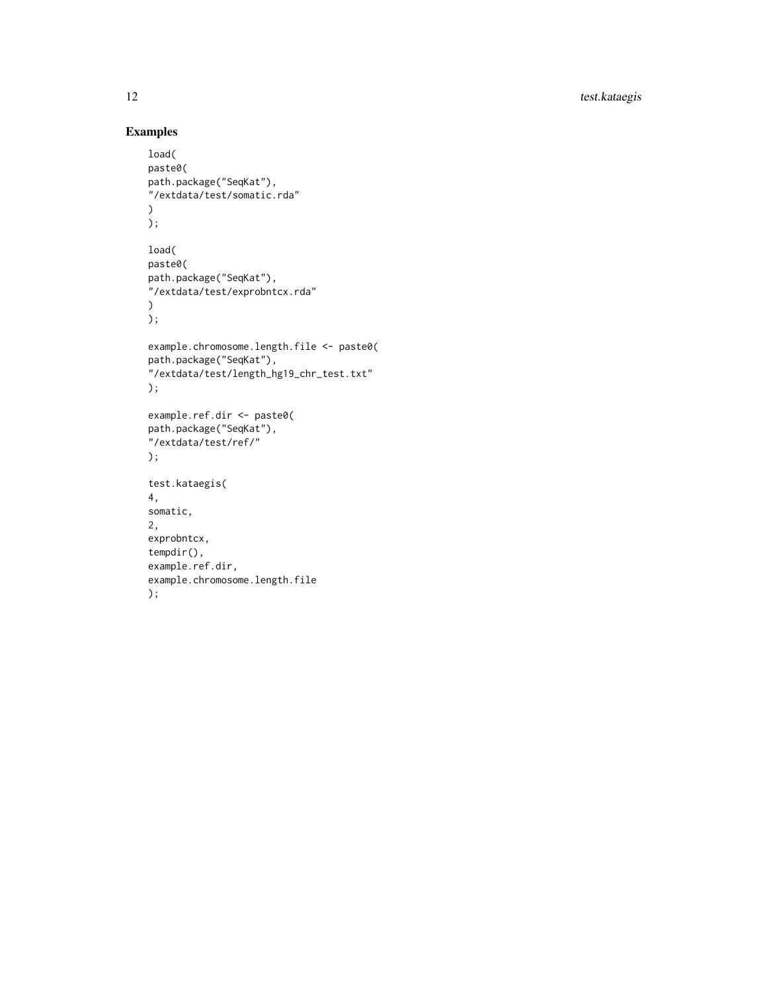12 test.kataegis

```
load(
paste0(
path.package("SeqKat"),
"/extdata/test/somatic.rda"
\lambda);
load(
paste0(
path.package("SeqKat"),
"/extdata/test/exprobntcx.rda"
\mathcal{L});
example.chromosome.length.file <- paste0(
path.package("SeqKat"),
"/extdata/test/length_hg19_chr_test.txt"
);
example.ref.dir <- paste0(
path.package("SeqKat"),
"/extdata/test/ref/"
);
test.kataegis(
4,
somatic,
2,
exprobntcx,
tempdir(),
example.ref.dir,
example.chromosome.length.file
);
```